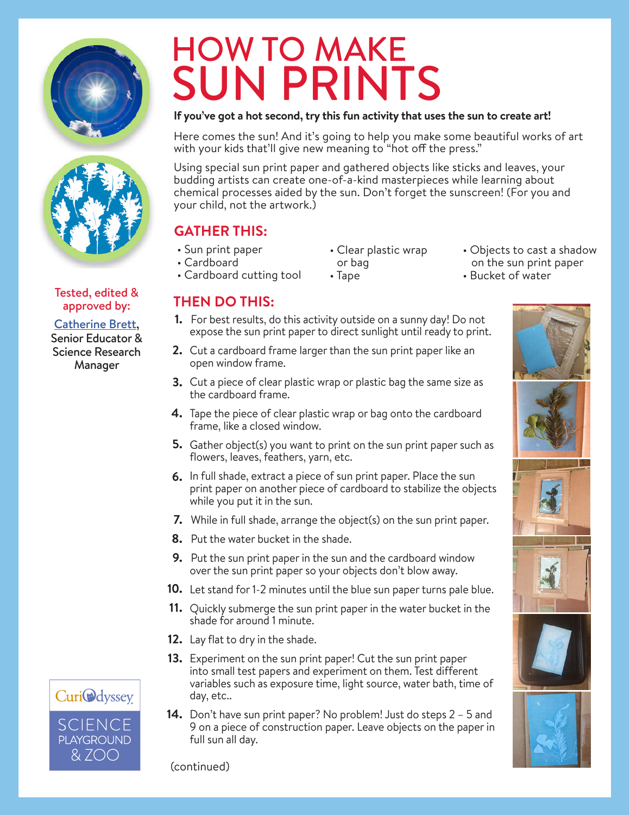



Tested, edited & approved by: Catherine Brett, Senior Educator & Science Research Manager

# HOW TO MAKE SUN PRINTS

### **If you've got a hot second, try this fun activity that uses the sun to create art!**

Here comes the sun! And it's going to help you make some beautiful works of art with your kids that'll give new meaning to "hot off the press."

Using special sun print paper and gathered objects like sticks and leaves, your budding artists can create one-of-a-kind masterpieces while learning about chemical processes aided by the sun. Don't forget the sunscreen! (For you and your child, not the artwork.)

## **GATHER THIS:**

- Sun print paper
- Cardboard
- Cardboard cutting tool
- Clear plastic wrap or bag • Tape
- Objects to cast a shadow on the sun print paper
- Bucket of water

## **THEN DO THIS:**

- For best results, do this activity outside on a sunny day! Do not **1.** expose the sun print paper to direct sunlight until ready to print.
- Cut a cardboard frame larger than the sun print paper like an **2.** open window frame.
- Cut a piece of clear plastic wrap or plastic bag the same size as the cardboard frame. **3.**
- **4.** Tape the piece of clear plastic wrap or bag onto the cardboard frame, like a closed window.
- Gather object(s) you want to print on the sun print paper such as **5.** flowers, leaves, feathers, yarn, etc.
- **6.** In full shade, extract a piece of sun print paper. Place the sun print paper on another piece of cardboard to stabilize the objects while you put it in the sun.
- While in full shade, arrange the object(s) on the sun print paper. **7.**
- 8. Put the water bucket in the shade.
- **9.** Put the sun print paper in the sun and the cardboard window over the sun print paper so your objects don't blow away.
- 10. Let stand for 1-2 minutes until the blue sun paper turns pale blue.
- 11. Quickly submerge the sun print paper in the water bucket in the shade for around 1 minute.
- 12. Lay flat to dry in the shade.
- 13. Experiment on the sun print paper! Cut the sun print paper into small test papers and experiment on them. Test different variables such as exposure time, light source, water bath, time of day, etc..
- 14. Don't have sun print paper? No problem! Just do steps 2 5 and 9 on a piece of construction paper. Leave objects on the paper in full sun all day.





(continued)